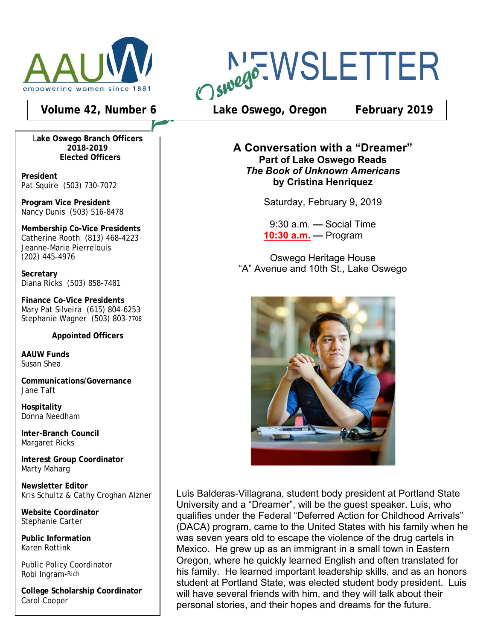

L**ake Oswego Branch Officers 2018-2019 Elected Officers**

**President** Pat Squire (503) 730-7072

**Program Vice President** Nancy Dunis (503) 516-8478

**Membership Co-Vice Presidents** Catherine Rooth (813) 468-4223 Jeanne-Marie Pierrelouis (202) 445-4976

**Secretary** Diana Ricks (503) 858-7481

**Finance Co-Vice Presidents** Mary Pat Silveira (615) 804-6253 Stephanie Wagner (503) 803-7708

**Appointed Officers**

**AAUW Funds** Susan Shea

**Communications/Governance** Jane Taft

**Hospitality** Donna Needham

**Inter-Branch Council** Margaret Ricks

**Interest Group Coordinator** Marty Maharg

**Newsletter Editor** Kris Schultz & Cathy Croghan Alzner

**Website Coordinator** Stephanie Carter

**Public Information** Karen Rottink

Public Policy Coordinator Robi Ingram-Rich

**College Scholarship Coordinator** Carol Cooper

**NEWSLETTER** 

**Volume 42, Number 6 Lake Oswego, Oregon February 2019**

**A Conversation with a "Dreamer" Part of Lake Oswego Reads** *The Book of Unknown Americans* **by Cristina Henriquez**

Saturday, February 9, 2019

9:30 a.m. **—** Social Time **10:30 a.m. —** Program

Oswego Heritage House "A" Avenue and 10th St., Lake Oswego



Luis Balderas-Villagrana, student body president at Portland State University and a "Dreamer", will be the guest speaker. Luis, who qualifies under the Federal "Deferred Action for Childhood Arrivals" (DACA) program, came to the United States with his family when he was seven years old to escape the violence of the drug cartels in Mexico. He grew up as an immigrant in a small town in Eastern Oregon, where he quickly learned English and often translated for his family. He learned important leadership skills, and as an honors student at Portland State, was elected student body president. Luis will have several friends with him, and they will talk about their personal stories, and their hopes and dreams for the future.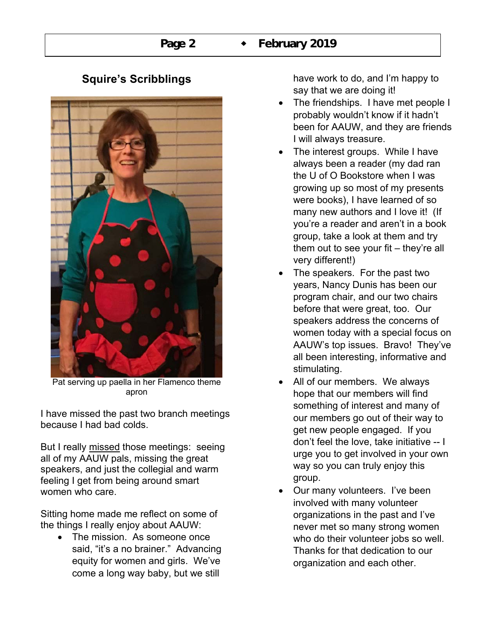# **Squire's Scribblings**



Pat serving up paella in her Flamenco theme apron

I have missed the past two branch meetings because I had bad colds.

But I really missed those meetings: seeing all of my AAUW pals, missing the great speakers, and just the collegial and warm feeling I get from being around smart women who care.

Sitting home made me reflect on some of the things I really enjoy about AAUW:

• The mission. As someone once said, "it's a no brainer." Advancing equity for women and girls. We've come a long way baby, but we still

have work to do, and I'm happy to say that we are doing it!

- The friendships. I have met people I probably wouldn't know if it hadn't been for AAUW, and they are friends I will always treasure.
- The interest groups. While I have always been a reader (my dad ran the U of O Bookstore when I was growing up so most of my presents were books), I have learned of so many new authors and I love it! (If you're a reader and aren't in a book group, take a look at them and try them out to see your fit  $-$  they're all very different!)
- The speakers. For the past two years, Nancy Dunis has been our program chair, and our two chairs before that were great, too. Our speakers address the concerns of women today with a special focus on AAUW's top issues. Bravo! They've all been interesting, informative and stimulating.
- All of our members. We always hope that our members will find something of interest and many of our members go out of their way to get new people engaged. If you don't feel the love, take initiative -- I urge you to get involved in your own way so you can truly enjoy this group.
- Our many volunteers. I've been involved with many volunteer organizations in the past and I've never met so many strong women who do their volunteer jobs so well. Thanks for that dedication to our organization and each other.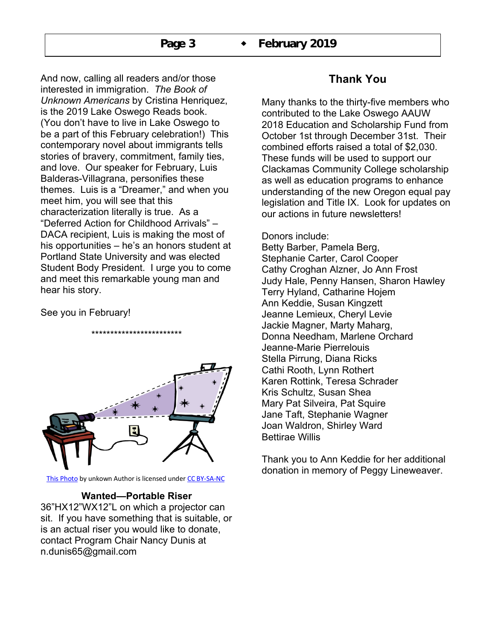And now, calling all readers and/or those interested in immigration. *The Book of Unknown Americans* by Cristina Henriquez, is the 2019 Lake Oswego Reads book. (You don't have to live in Lake Oswego to be a part of this February celebration!) This contemporary novel about immigrants tells stories of bravery, commitment, family ties, and love. Our speaker for February, Luis Balderas-Villagrana, personifies these themes. Luis is a "Dreamer," and when you meet him, you will see that this characterization literally is true. As a "Deferred Action for Childhood Arrivals" – DACA recipient, Luis is making the most of his opportunities – he's an honors student at Portland State University and was elected Student Body President. I urge you to come and meet this remarkable young man and hear his story.

#### See you in February!



\*\*\*\*\*\*\*\*\*\*\*\*\*\*\*\*\*\*\*\*\*\*\*\*

This Photo by unkown Author is licensed under CC BY-SA-NC

#### **Wanted—Portable Riser**

36"HX12"WX12"L on which a projector can sit. If you have something that is suitable, or is an actual riser you would like to donate, contact Program Chair Nancy Dunis at n.dunis65@gmail.com

# **Thank You**

Many thanks to the thirty-five members who contributed to the Lake Oswego AAUW 2018 Education and Scholarship Fund from October 1st through December 31st. Their combined efforts raised a total of \$2,030. These funds will be used to support our Clackamas Community College scholarship as well as education programs to enhance understanding of the new Oregon equal pay legislation and Title IX. Look for updates on our actions in future newsletters!

#### Donors include:

Betty Barber, Pamela Berg, Stephanie Carter, Carol Cooper Cathy Croghan Alzner, Jo Ann Frost Judy Hale, Penny Hansen, Sharon Hawley Terry Hyland, Catharine Hojem Ann Keddie, Susan Kingzett Jeanne Lemieux, Cheryl Levie Jackie Magner, Marty Maharg, Donna Needham, Marlene Orchard Jeanne-Marie Pierrelouis Stella Pirrung, Diana Ricks Cathi Rooth, Lynn Rothert Karen Rottink, Teresa Schrader Kris Schultz, Susan Shea Mary Pat Silveira, Pat Squire Jane Taft, Stephanie Wagner Joan Waldron, Shirley Ward Bettirae Willis

Thank you to Ann Keddie for her additional donation in memory of Peggy Lineweaver.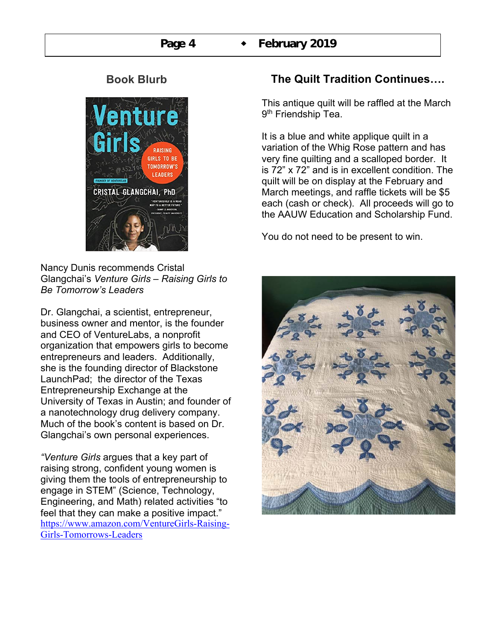# **Book Blurb**



Nancy Dunis recommends Cristal Glangchai's *Venture Girls – Raising Girls to Be Tomorrow's Leaders*

Dr. Glangchai, a scientist, entrepreneur, business owner and mentor, is the founder and CEO of VentureLabs, a nonprofit organization that empowers girls to become entrepreneurs and leaders. Additionally, she is the founding director of Blackstone LaunchPad; the director of the Texas Entrepreneurship Exchange at the University of Texas in Austin; and founder of a nanotechnology drug delivery company. Much of the book's content is based on Dr. Glangchai's own personal experiences.

*"Venture Girls* argues that a key part of raising strong, confident young women is giving them the tools of entrepreneurship to engage in STEM" (Science, Technology, Engineering, and Math) related activities "to feel that they can make a positive impact." https://www.amazon.com/VentureGirls-Raising-Girls-Tomorrows-Leaders

# **The Quilt Tradition Continues….**

This antique quilt will be raffled at the March 9<sup>th</sup> Friendship Tea.

It is a blue and white applique quilt in a variation of the Whig Rose pattern and has very fine quilting and a scalloped border. It is 72" x 72" and is in excellent condition. The quilt will be on display at the February and March meetings, and raffle tickets will be \$5 each (cash or check). All proceeds will go to the AAUW Education and Scholarship Fund.

You do not need to be present to win.

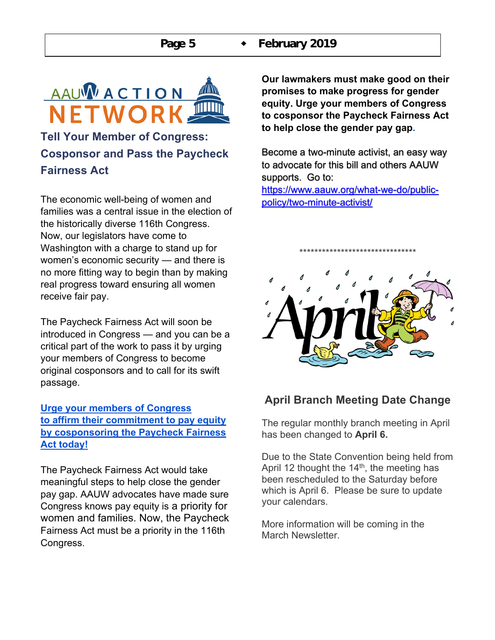

# **Tell Your Member of Congress: Cosponsor and Pass the Paycheck Fairness Act**

The economic well-being of women and families was a central issue in the election of the historically diverse 116th Congress. Now, our legislators have come to Washington with a charge to stand up for women's economic security — and there is no more fitting way to begin than by making real progress toward ensuring all women receive fair pay.

The Paycheck Fairness Act will soon be introduced in Congress — and you can be a critical part of the work to pass it by urging your members of Congress to become original cosponsors and to call for its swift passage.

## **Urge your members of Congress to affirm their commitment to pay equity by cosponsoring the Paycheck Fairness Act today!**

The Paycheck Fairness Act would take meaningful steps to help close the gender pay gap. AAUW advocates have made sure Congress knows pay equity is a priority for women and families. Now, the Paycheck Fairness Act must be a priority in the 116th Congress.

**Our lawmakers must make good on their promises to make progress for gender equity. Urge your members of Congress to cosponsor the Paycheck Fairness Act to help close the gender pay gap.**

Become a two-minute activist, an easy way to advocate for this bill and others AAUW supports. Go to:

https://www.aauw.org/what-we-do/publicpolicy/two-minute-activist/



\*\*\*\*\*\*\*\*\*\*\*\*\*\*\*\*\*\*\*\*\*\*\*\*\*\*\*\*\*\*\*

# **April Branch Meeting Date Change**

The regular monthly branch meeting in April has been changed to **April 6.**

Due to the State Convention being held from April 12 thought the  $14<sup>th</sup>$ , the meeting has been rescheduled to the Saturday before which is April 6. Please be sure to update your calendars.

More information will be coming in the March Newsletter.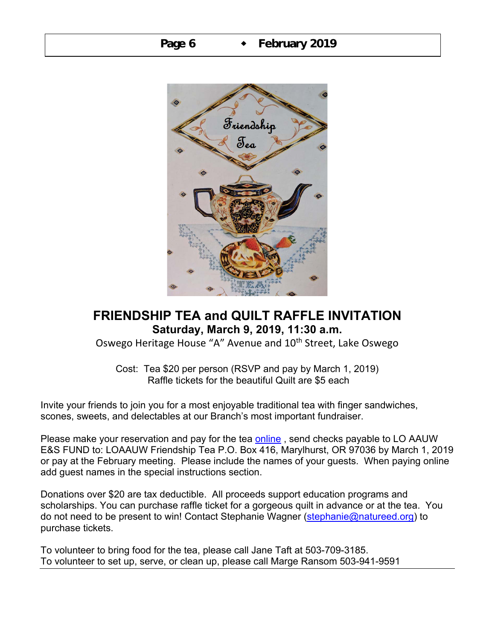

# **FRIENDSHIP TEA and QUILT RAFFLE INVITATION Saturday, March 9, 2019, 11:30 a.m.**

Oswego Heritage House "A" Avenue and 10<sup>th</sup> Street, Lake Oswego

Cost: Tea \$20 per person (RSVP and pay by March 1, 2019) Raffle tickets for the beautiful Quilt are \$5 each

Invite your friends to join you for a most enjoyable traditional tea with finger sandwiches, scones, sweets, and delectables at our Branch's most important fundraiser.

Please make your reservation and pay for the tea online, send checks payable to LO AAUW E&S FUND to: LOAAUW Friendship Tea P.O. Box 416, Marylhurst, OR 97036 by March 1, 2019 or pay at the February meeting. Please include the names of your guests. When paying online add guest names in the special instructions section.

Donations over \$20 are tax deductible. All proceeds support education programs and scholarships. You can purchase raffle ticket for a gorgeous quilt in advance or at the tea. You do not need to be present to win! Contact Stephanie Wagner (stephanie@natureed.org) to purchase tickets.

To volunteer to bring food for the tea, please call Jane Taft at 503-709-3185. To volunteer to set up, serve, or clean up, please call Marge Ransom 503-941-9591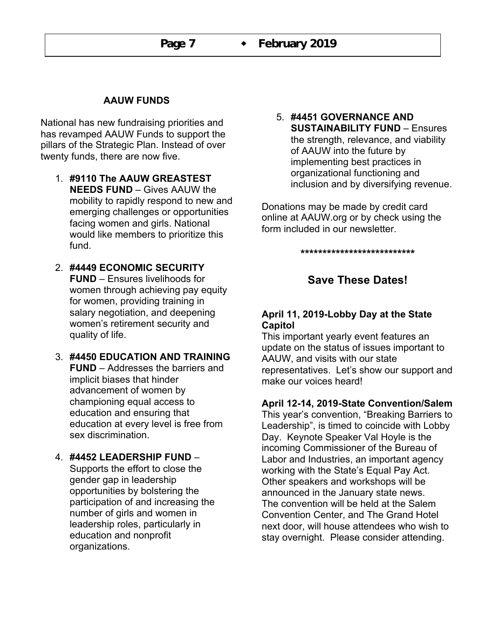### **AAUW FUNDS**

National has new fundraising priorities and has revamped AAUW Funds to support the pillars of the Strategic Plan. Instead of over twenty funds, there are now five.

- 1. **#9110 The AAUW GREASTEST NEEDS FUND** – Gives AAUW the mobility to rapidly respond to new and emerging challenges or opportunities facing women and girls. National would like members to prioritize this fund.
- 2. **#4449 ECONOMIC SECURITY FUND** – Ensures livelihoods for women through achieving pay equity for women, providing training in salary negotiation, and deepening women's retirement security and quality of life.
- 3. **#4450 EDUCATION AND TRAINING FUND** – Addresses the barriers and implicit biases that hinder advancement of women by championing equal access to education and ensuring that education at every level is free from sex discrimination.

#### 4. **#4452 LEADERSHIP FUND** –

Supports the effort to close the gender gap in leadership opportunities by bolstering the participation of and increasing the number of girls and women in leadership roles, particularly in education and nonprofit organizations.

5. **#4451 GOVERNANCE AND SUSTAINABILITY FUND** – Ensures the strength, relevance, and viability of AAUW into the future by implementing best practices in organizational functioning and inclusion and by diversifying revenue.

Donations may be made by credit card online at AAUW.org or by check using the form included in our newsletter.

**\*\*\*\*\*\*\*\*\*\*\*\*\*\*\*\*\*\*\*\*\*\*\*\*\*\***

# **Save These Dates!**

#### **April 11, 2019-Lobby Day at the State Capitol**

This important yearly event features an update on the status of issues important to AAUW, and visits with our state representatives. Let's show our support and make our voices heard!

#### **April 12-14, 2019-State Convention/Salem**

This year's convention, "Breaking Barriers to Leadership", is timed to coincide with Lobby Day. Keynote Speaker Val Hoyle is the incoming Commissioner of the Bureau of Labor and Industries, an important agency working with the State's Equal Pay Act. Other speakers and workshops will be announced in the January state news. The convention will be held at the Salem Convention Center, and The Grand Hotel next door, will house attendees who wish to stay overnight. Please consider attending.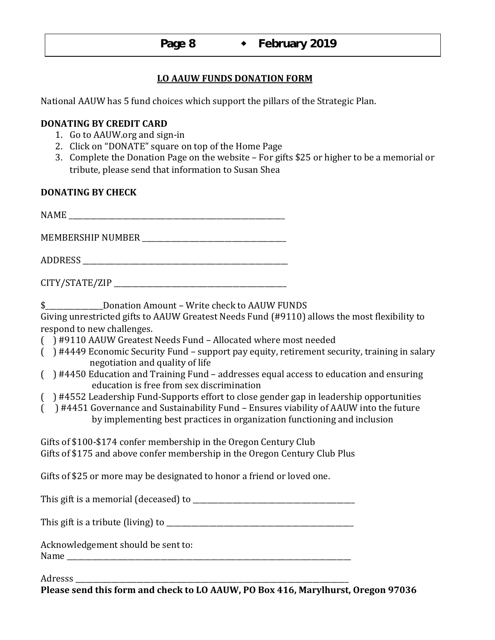#### **LO AAUW FUNDS DONATION FORM**

National AAUW has 5 fund choices which support the pillars of the Strategic Plan.

#### **DONATING BY CREDIT CARD**

- 1. Go to AAUW.org and sign-in
- 2. Click on "DONATE" square on top of the Home Page
- 3. Complete the Donation Page on the website  $-$  For gifts \$25 or higher to be a memorial or tribute, please send that information to Susan Shea

#### **DONATING BY CHECK**

| \$____________________Donation Amount - Write check to AAUW FUNDS                                                                                                                                                                                               |
|-----------------------------------------------------------------------------------------------------------------------------------------------------------------------------------------------------------------------------------------------------------------|
| Giving unrestricted gifts to AAUW Greatest Needs Fund (#9110) allows the most flexibility to<br>respond to new challenges.                                                                                                                                      |
| () #9110 AAUW Greatest Needs Fund - Allocated where most needed                                                                                                                                                                                                 |
| () #4449 Economic Security Fund - support pay equity, retirement security, training in salary<br>negotiation and quality of life                                                                                                                                |
| () #4450 Education and Training Fund – addresses equal access to education and ensuring<br>education is free from sex discrimination                                                                                                                            |
| () #4552 Leadership Fund-Supports effort to close gender gap in leadership opportunities<br>() #4451 Governance and Sustainability Fund - Ensures viability of AAUW into the future<br>by implementing best practices in organization functioning and inclusion |
| Gifts of \$100-\$174 confer membership in the Oregon Century Club<br>Gifts of \$175 and above confer membership in the Oregon Century Club Plus                                                                                                                 |
| Gifts of \$25 or more may be designated to honor a friend or loved one.                                                                                                                                                                                         |
|                                                                                                                                                                                                                                                                 |

This gift is a tribute (living) to  $\frac{1}{2}$  =  $\frac{1}{2}$  =  $\frac{1}{2}$  =  $\frac{1}{2}$  =  $\frac{1}{2}$  =  $\frac{1}{2}$  =  $\frac{1}{2}$  =  $\frac{1}{2}$  =  $\frac{1}{2}$  =  $\frac{1}{2}$  =  $\frac{1}{2}$  =  $\frac{1}{2}$  =  $\frac{1}{2}$  =  $\frac{1}{2}$  =  $\frac{1}{2}$  =  $\frac{1}{$ 

Acknowledgement should be sent to: Name

Adresss

Please send this form and check to LO AAUW, PO Box 416, Marylhurst, Oregon 97036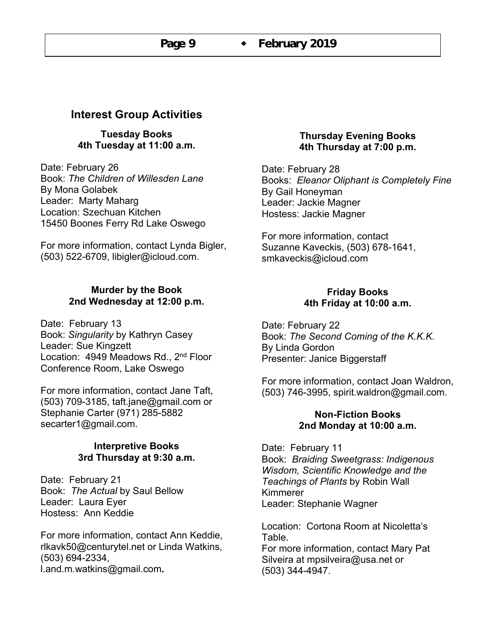# **Interest Group Activities**

**Tuesday Books 4th Tuesday at 11:00 a.m.**

Date: February 26 Book: *The Children of Willesden Lane*  By Mona Golabek Leader: Marty Maharg Location: Szechuan Kitchen 15450 Boones Ferry Rd Lake Oswego

For more information, contact Lynda Bigler, (503) 522-6709, libigler@icloud.com.

#### **Murder by the Book 2nd Wednesday at 12:00 p.m.**

Date: February 13 Book: *Singularity* by Kathryn Casey Leader: Sue Kingzett Location: 4949 Meadows Rd., 2<sup>nd</sup> Floor Conference Room, Lake Oswego

For more information, contact Jane Taft, (503) 709-3185, taft.jane@gmail.com or Stephanie Carter (971) 285-5882 secarter1@gmail.com.

#### **Interpretive Books 3rd Thursday at 9:30 a.m.**

Date: February 21 Book: *The Actual* by Saul Bellow Leader: Laura Eyer Hostess: Ann Keddie

For more information, contact Ann Keddie, rlkavk50@centurytel.net or Linda Watkins, (503) 694-2334, l.and.m.watkins@gmail.com**.** 

#### **Thursday Evening Books 4th Thursday at 7:00 p.m.**

Date: February 28 Books: *Eleanor Oliphant is Completely Fine* By Gail Honeyman Leader: Jackie Magner Hostess: Jackie Magner

For more information, contact Suzanne Kaveckis, (503) 678-1641, smkaveckis@icloud.com

#### **Friday Books 4th Friday at 10:00 a.m.**

Date: February 22 Book: *The Second Coming of the K.K.K.* By Linda Gordon Presenter: Janice Biggerstaff

For more information, contact Joan Waldron, (503) 746-3995, spirit.waldron@gmail.com.

#### **Non-Fiction Books 2nd Monday at 10:00 a.m.**

Date: February 11 Book: *Braiding Sweetgrass: Indigenous Wisdom, Scientific Knowledge and the Teachings of Plants* by Robin Wall Kimmerer Leader: Stephanie Wagner

Location: Cortona Room at Nicoletta's Table. For more information, contact Mary Pat Silveira at mpsilveira@usa.net or (503) 344-4947.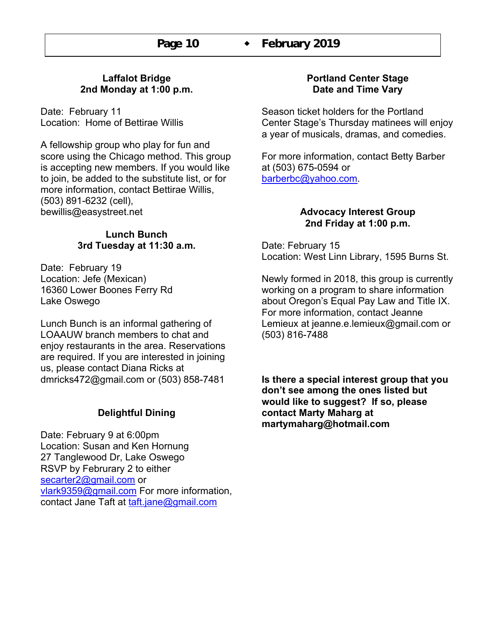#### **Laffalot Bridge 2nd Monday at 1:00 p.m.**

Date: February 11 Location: Home of Bettirae Willis

A fellowship group who play for fun and score using the Chicago method. This group is accepting new members. If you would like to join, be added to the substitute list, or for more information, contact Bettirae Willis, (503) 891-6232 (cell), bewillis@easystreet.net

#### **Lunch Bunch 3rd Tuesday at 11:30 a.m.**

Date: February 19 Location: Jefe (Mexican) 16360 Lower Boones Ferry Rd Lake Oswego

Lunch Bunch is an informal gathering of LOAAUW branch members to chat and enjoy restaurants in the area. Reservations are required. If you are interested in joining us, please contact Diana Ricks at dmricks472@gmail.com or (503) 858-7481

## **Delightful Dining**

Date: February 9 at 6:00pm Location: Susan and Ken Hornung 27 Tanglewood Dr, Lake Oswego RSVP by Februrary 2 to either secarter2@gmail.com or vlark9359@gmail.com For more information, contact Jane Taft at taft.jane@gmail.com

#### **Portland Center Stage Date and Time Vary**

Season ticket holders for the Portland Center Stage's Thursday matinees will enjoy a year of musicals, dramas, and comedies.

For more information, contact Betty Barber at (503) 675-0594 or barberbc@yahoo.com.

#### **Advocacy Interest Group 2nd Friday at 1:00 p.m.**

Date: February 15 Location: West Linn Library, 1595 Burns St.

Newly formed in 2018, this group is currently working on a program to share information about Oregon's Equal Pay Law and Title IX. For more information, contact Jeanne Lemieux at jeanne.e.lemieux@gmail.com or (503) 816-7488

**Is there a special interest group that you don't see among the ones listed but would like to suggest? If so, please contact Marty Maharg at martymaharg@hotmail.com**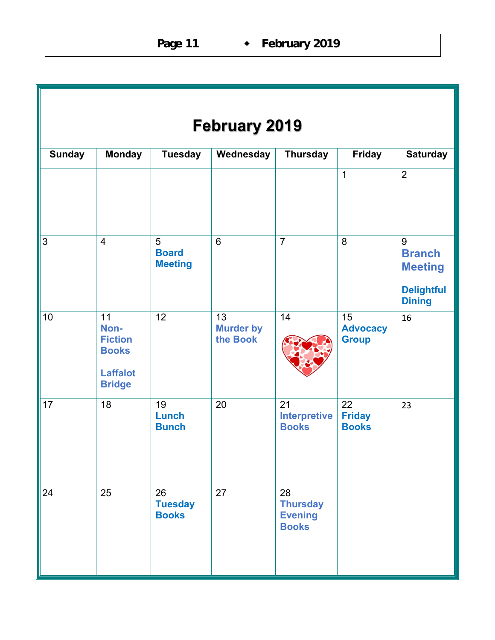| <b>February 2019</b> |                                                                                  |                                      |                                    |                                                         |                                       |                                                                            |  |  |  |  |
|----------------------|----------------------------------------------------------------------------------|--------------------------------------|------------------------------------|---------------------------------------------------------|---------------------------------------|----------------------------------------------------------------------------|--|--|--|--|
| <b>Sunday</b>        | <b>Monday</b>                                                                    | <b>Tuesday</b>                       | Wednesday                          | <b>Thursday</b>                                         | <b>Friday</b>                         | <b>Saturday</b>                                                            |  |  |  |  |
|                      |                                                                                  |                                      |                                    |                                                         | $\overline{1}$                        | $\overline{2}$                                                             |  |  |  |  |
| 3                    | $\overline{4}$                                                                   | 5<br><b>Board</b><br><b>Meeting</b>  | $6\phantom{1}$                     | $\overline{7}$                                          | 8                                     | 9<br><b>Branch</b><br><b>Meeting</b><br><b>Delightful</b><br><b>Dining</b> |  |  |  |  |
| 10                   | 11<br>Non-<br><b>Fiction</b><br><b>Books</b><br><b>Laffalot</b><br><b>Bridge</b> | 12                                   | 13<br><b>Murder by</b><br>the Book | 14                                                      | 15<br><b>Advocacy</b><br><b>Group</b> | 16                                                                         |  |  |  |  |
| 17                   | 18                                                                               | 19<br>Lunch<br><b>Bunch</b>          | 20                                 | 21<br><b>Interpretive</b><br><b>Books</b>               | 22<br><b>Friday</b><br><b>Books</b>   | 23                                                                         |  |  |  |  |
| 24                   | 25                                                                               | 26<br><b>Tuesday</b><br><b>Books</b> | 27                                 | 28<br><b>Thursday</b><br><b>Evening</b><br><b>Books</b> |                                       |                                                                            |  |  |  |  |